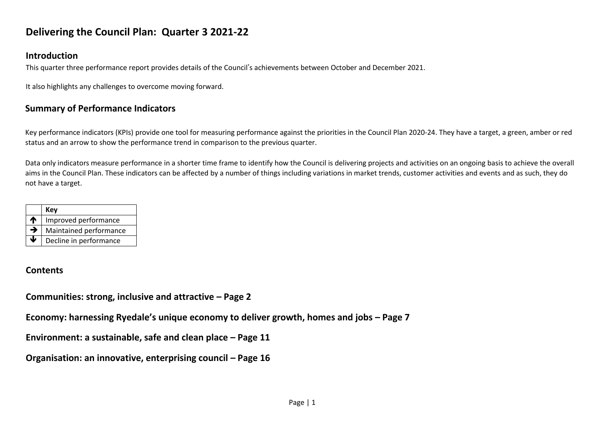# **Delivering the Council Plan: Quarter 3 2021-22**

## **Introduction**

This quarter three performance report provides details of the Council's achievements between October and December 2021.

It also highlights any challenges to overcome moving forward.

## **Summary of Performance Indicators**

Key performance indicators (KPIs) provide one tool for measuring performance against the priorities in the Council Plan 2020-24. They have a target, a green, amber or red status and an arrow to show the performance trend in comparison to the previous quarter.

Data only indicators measure performance in a shorter time frame to identify how the Council is delivering projects and activities on an ongoing basis to achieve the overall aims in the Council Plan. These indicators can be affected by a number of things including variations in market trends, customer activities and events and as such, they do not have a target.

|                 | Kev                    |
|-----------------|------------------------|
| $\blacklozenge$ | Improved performance   |
| →               | Maintained performance |
|                 | Decline in performance |

## **Contents**

**Communities: strong, inclusive and attractive – Page 2** 

**Economy: harnessing Ryedale's unique economy to deliver growth, homes and jobs – Page 7**

**Environment: a sustainable, safe and clean place – Page 11** 

**Organisation: an innovative, enterprising council - Page 16**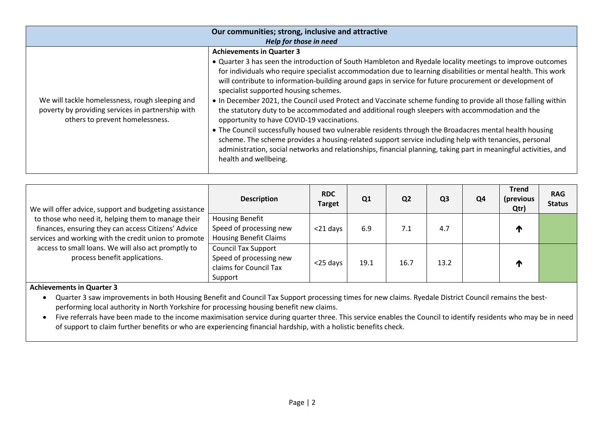| Our communities; strong, inclusive and attractive                                    |                                                                                                                                                                                                                                                                                                                                                                                                                                                                                                  |  |  |  |
|--------------------------------------------------------------------------------------|--------------------------------------------------------------------------------------------------------------------------------------------------------------------------------------------------------------------------------------------------------------------------------------------------------------------------------------------------------------------------------------------------------------------------------------------------------------------------------------------------|--|--|--|
| Help for those in need                                                               |                                                                                                                                                                                                                                                                                                                                                                                                                                                                                                  |  |  |  |
|                                                                                      | <b>Achievements in Quarter 3</b>                                                                                                                                                                                                                                                                                                                                                                                                                                                                 |  |  |  |
| We will tackle homelessness, rough sleeping and                                      | • Quarter 3 has seen the introduction of South Hambleton and Ryedale locality meetings to improve outcomes<br>for individuals who require specialist accommodation due to learning disabilities or mental health. This work<br>will contribute to information-building around gaps in service for future procurement or development of<br>specialist supported housing schemes.<br>• In December 2021, the Council used Protect and Vaccinate scheme funding to provide all those falling within |  |  |  |
| poverty by providing services in partnership with<br>others to prevent homelessness. | the statutory duty to be accommodated and additional rough sleepers with accommodation and the<br>opportunity to have COVID-19 vaccinations.<br>• The Council successfully housed two vulnerable residents through the Broadacres mental health housing<br>scheme. The scheme provides a housing-related support service including help with tenancies, personal<br>administration, social networks and relationships, financial planning, taking part in meaningful activities, and             |  |  |  |
|                                                                                      | health and wellbeing.                                                                                                                                                                                                                                                                                                                                                                                                                                                                            |  |  |  |

| We will offer advice, support and budgeting assistance<br>to those who need it, helping them to manage their<br>finances, ensuring they can access Citizens' Advice<br>services and working with the credit union to promote<br>access to small loans. We will also act promptly to<br>process benefit applications. | <b>Description</b>                                                                         | <b>RDC</b><br><b>Target</b> | Q1   | Q <sub>2</sub> | Q <sub>3</sub> | Q <sub>4</sub> | <b>Trend</b><br>(previous<br>Qtr) | <b>RAG</b><br><b>Status</b> |
|----------------------------------------------------------------------------------------------------------------------------------------------------------------------------------------------------------------------------------------------------------------------------------------------------------------------|--------------------------------------------------------------------------------------------|-----------------------------|------|----------------|----------------|----------------|-----------------------------------|-----------------------------|
|                                                                                                                                                                                                                                                                                                                      | <b>Housing Benefit</b><br>Speed of processing new<br><b>Housing Benefit Claims</b>         | $<$ 21 days                 | 6.9  | 7.1            | 4.7            |                |                                   |                             |
|                                                                                                                                                                                                                                                                                                                      | <b>Council Tax Support</b><br>Speed of processing new<br>claims for Council Tax<br>Support | <25 days                    | 19.1 | 16.7           | 13.2           |                |                                   |                             |

 Quarter 3 saw improvements in both Housing Benefit and Council Tax Support processing times for new claims. Ryedale District Council remains the bestperforming local authority in North Yorkshire for processing housing benefit new claims.

 Five referrals have been made to the income maximisation service during quarter three. This service enables the Council to identify residents who may be in need of support to claim further benefits or who are experiencing financial hardship, with a holistic benefits check.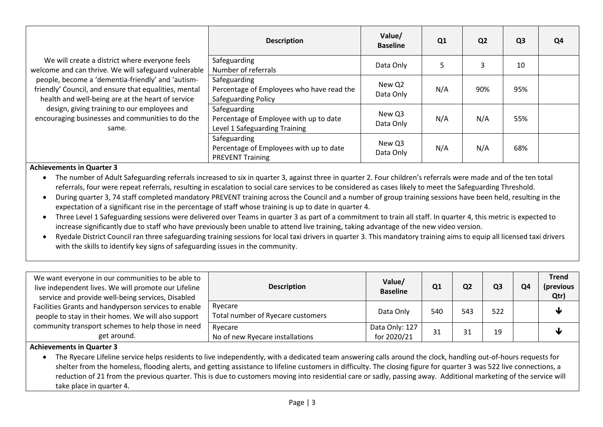|                                                                                                                                                                                                                                                                                                                                                                                        | <b>Description</b>                                                                      | Value/<br><b>Baseline</b> | Q <sub>1</sub> | Q <sub>2</sub> | Q <sub>3</sub> | Q <sub>4</sub> |
|----------------------------------------------------------------------------------------------------------------------------------------------------------------------------------------------------------------------------------------------------------------------------------------------------------------------------------------------------------------------------------------|-----------------------------------------------------------------------------------------|---------------------------|----------------|----------------|----------------|----------------|
| We will create a district where everyone feels<br>welcome and can thrive. We will safeguard vulnerable<br>people, become a 'dementia-friendly' and 'autism-<br>friendly' Council, and ensure that equalities, mental<br>health and well-being are at the heart of service<br>design, giving training to our employees and<br>encouraging businesses and communities to do the<br>same. | Safeguarding<br>Number of referrals                                                     | Data Only                 | 5              | 3              | 10             |                |
|                                                                                                                                                                                                                                                                                                                                                                                        | Safeguarding<br>Percentage of Employees who have read the<br>Safeguarding Policy        | New Q2<br>Data Only       | N/A            | 90%            | 95%            |                |
|                                                                                                                                                                                                                                                                                                                                                                                        | Safeguarding<br>Percentage of Employee with up to date<br>Level 1 Safeguarding Training | New Q3<br>Data Only       | N/A            | N/A            | 55%            |                |
|                                                                                                                                                                                                                                                                                                                                                                                        | Safeguarding<br>Percentage of Employees with up to date<br><b>PREVENT Training</b>      | New Q3<br>Data Only       | N/A            | N/A            | 68%            |                |

 The number of Adult Safeguarding referrals increased to six in quarter 3, against three in quarter 2. Four children's referrals were made and of the ten total referrals, four were repeat referrals, resulting in escalation to social care services to be considered as cases likely to meet the Safeguarding Threshold.

- During quarter 3, 74 staff completed mandatory PREVENT training across the Council and a number of group training sessions have been held, resulting in the expectation of a significant rise in the percentage of staff whose training is up to date in quarter 4.
- Three Level 1 Safeguarding sessions were delivered over Teams in quarter 3 as part of a commitment to train all staff. In quarter 4, this metric is expected to increase significantly due to staff who have previously been unable to attend live training, taking advantage of the new video version.
- Ryedale District Council ran three safeguarding training sessions for local taxi drivers in quarter 3. This mandatory training aims to equip all licensed taxi drivers with the skills to identify key signs of safeguarding issues in the community.

| We want everyone in our communities to be able to<br>live independent lives. We will promote our Lifeline<br>service and provide well-being services, Disabled | <b>Description</b>                           | Value/<br><b>Baseline</b>     | Q1  | Q <sub>2</sub> | Q3  | O4 | <b>Trend</b><br>(previous<br>Qtr) |
|----------------------------------------------------------------------------------------------------------------------------------------------------------------|----------------------------------------------|-------------------------------|-----|----------------|-----|----|-----------------------------------|
| Facilities Grants and handyperson services to enable<br>people to stay in their homes. We will also support                                                    | Ryecare<br>Total number of Ryecare customers | Data Only                     | 540 | 543            | 522 |    | NL                                |
| community transport schemes to help those in need<br>get around.                                                                                               | Ryecare<br>No of new Ryecare installations   | Data Only: 127<br>for 2020/21 | 31  |                | 19  |    |                                   |

#### **Achievements in Quarter 3**

 The Ryecare Lifeline service helps residents to live independently, with a dedicated team answering calls around the clock, handling out-of-hours requests for shelter from the homeless, flooding alerts, and getting assistance to lifeline customers in difficulty. The closing figure for quarter 3 was 522 live connections, a reduction of 21 from the previous quarter. This is due to customers moving into residential care or sadly, passing away. Additional marketing of the service will take place in quarter 4.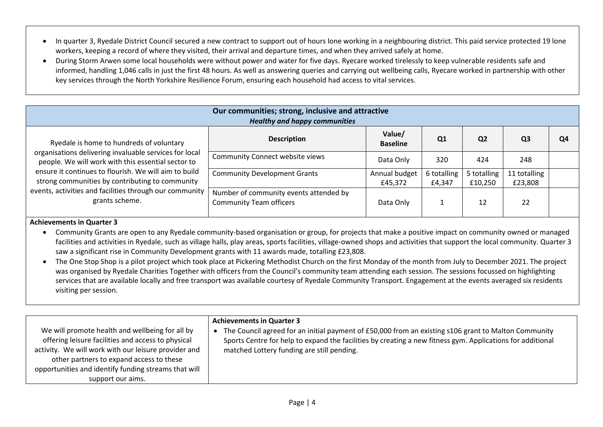- In quarter 3, Ryedale District Council secured a new contract to support out of hours lone working in a neighbouring district. This paid service protected 19 lone workers, keeping a record of where they visited, their arrival and departure times, and when they arrived safely at home.
- During Storm Arwen some local households were without power and water for five days. Ryecare worked tirelessly to keep vulnerable residents safe and informed, handling 1,046 calls in just the first 48 hours. As well as answering queries and carrying out wellbeing calls, Ryecare worked in partnership with other key services through the North Yorkshire Resilience Forum, ensuring each household had access to vital services.

| Our communities; strong, inclusive and attractive<br><b>Healthy and happy communities</b>                                                                                                                                                                                                                                                         |                                                                          |                           |                       |                        |                         |    |
|---------------------------------------------------------------------------------------------------------------------------------------------------------------------------------------------------------------------------------------------------------------------------------------------------------------------------------------------------|--------------------------------------------------------------------------|---------------------------|-----------------------|------------------------|-------------------------|----|
| Ryedale is home to hundreds of voluntary<br>organisations delivering invaluable services for local<br>people. We will work with this essential sector to<br>ensure it continues to flourish. We will aim to build<br>strong communities by contributing to community<br>events, activities and facilities through our community<br>grants scheme. | <b>Description</b>                                                       | Value/<br><b>Baseline</b> | Q1                    | Q <sub>2</sub>         | Q <sub>3</sub>          | Q4 |
|                                                                                                                                                                                                                                                                                                                                                   | <b>Community Connect website views</b>                                   | Data Only                 | 320                   | 424                    | 248                     |    |
|                                                                                                                                                                                                                                                                                                                                                   | <b>Community Development Grants</b>                                      | Annual budget<br>£45,372  | 6 totalling<br>£4,347 | 5 totalling<br>£10,250 | 11 totalling<br>£23,808 |    |
|                                                                                                                                                                                                                                                                                                                                                   | Number of community events attended by<br><b>Community Team officers</b> | Data Only                 |                       | 12                     | 22                      |    |

- Community Grants are open to any Ryedale community-based organisation or group, for projects that make a positive impact on community owned or managed facilities and activities in Ryedale, such as village halls, play areas, sports facilities, village-owned shops and activities that support the local community. Quarter 3 saw a significant rise in Community Development grants with 11 awards made, totalling £23,808.
- The One Stop Shop is a pilot project which took place at Pickering Methodist Church on the first Monday of the month from July to December 2021. The project was organised by Ryedale Charities Together with officers from the Council's community team attending each session. The sessions focussed on highlighting services that are available locally and free transport was available courtesy of Ryedale Community Transport. Engagement at the events averaged six residents visiting per session.

| We will promote health and wellbeing for all by<br>offering leisure facilities and access to physical<br>activity. We will work with our leisure provider and<br>other partners to expand access to these<br>opportunities and identify funding streams that will | <b>Achievements in Quarter 3</b><br>The Council agreed for an initial payment of £50,000 from an existing s106 grant to Malton Community<br>Sports Centre for help to expand the facilities by creating a new fitness gym. Applications for additional<br>matched Lottery funding are still pending. |
|-------------------------------------------------------------------------------------------------------------------------------------------------------------------------------------------------------------------------------------------------------------------|------------------------------------------------------------------------------------------------------------------------------------------------------------------------------------------------------------------------------------------------------------------------------------------------------|
| support our aims.                                                                                                                                                                                                                                                 |                                                                                                                                                                                                                                                                                                      |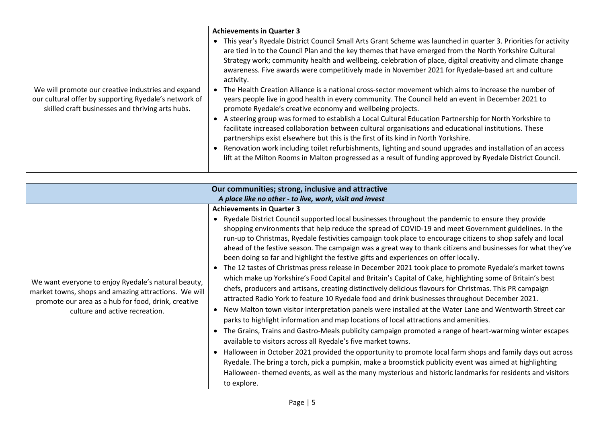|                                                                                                                                                                 | <b>Achievements in Quarter 3</b><br>This year's Ryedale District Council Small Arts Grant Scheme was launched in quarter 3. Priorities for activity<br>are tied in to the Council Plan and the key themes that have emerged from the North Yorkshire Cultural<br>Strategy work; community health and wellbeing, celebration of place, digital creativity and climate change                                                                                                                                                       |
|-----------------------------------------------------------------------------------------------------------------------------------------------------------------|-----------------------------------------------------------------------------------------------------------------------------------------------------------------------------------------------------------------------------------------------------------------------------------------------------------------------------------------------------------------------------------------------------------------------------------------------------------------------------------------------------------------------------------|
| We will promote our creative industries and expand<br>our cultural offer by supporting Ryedale's network of<br>skilled craft businesses and thriving arts hubs. | awareness. Five awards were competitively made in November 2021 for Ryedale-based art and culture<br>activity.<br>• The Health Creation Alliance is a national cross-sector movement which aims to increase the number of<br>years people live in good health in every community. The Council held an event in December 2021 to<br>promote Ryedale's creative economy and wellbeing projects.                                                                                                                                     |
|                                                                                                                                                                 | A steering group was formed to establish a Local Cultural Education Partnership for North Yorkshire to<br>facilitate increased collaboration between cultural organisations and educational institutions. These<br>partnerships exist elsewhere but this is the first of its kind in North Yorkshire.<br>Renovation work including toilet refurbishments, lighting and sound upgrades and installation of an access<br>lift at the Milton Rooms in Malton progressed as a result of funding approved by Ryedale District Council. |

| Our communities; strong, inclusive and attractive                                                                                                                                                    |                                                                                                                                                                                                                                                                                                                                                                                                                                                                                                                                                                                                                                                                                                                                                                                                                                                                                                                                                                                                                                                                                                                                                                                                                                                                                                                                                                                                                                                                                                                                                                                                                                                                                                                                                     |  |  |  |
|------------------------------------------------------------------------------------------------------------------------------------------------------------------------------------------------------|-----------------------------------------------------------------------------------------------------------------------------------------------------------------------------------------------------------------------------------------------------------------------------------------------------------------------------------------------------------------------------------------------------------------------------------------------------------------------------------------------------------------------------------------------------------------------------------------------------------------------------------------------------------------------------------------------------------------------------------------------------------------------------------------------------------------------------------------------------------------------------------------------------------------------------------------------------------------------------------------------------------------------------------------------------------------------------------------------------------------------------------------------------------------------------------------------------------------------------------------------------------------------------------------------------------------------------------------------------------------------------------------------------------------------------------------------------------------------------------------------------------------------------------------------------------------------------------------------------------------------------------------------------------------------------------------------------------------------------------------------------|--|--|--|
| A place like no other - to live, work, visit and invest                                                                                                                                              |                                                                                                                                                                                                                                                                                                                                                                                                                                                                                                                                                                                                                                                                                                                                                                                                                                                                                                                                                                                                                                                                                                                                                                                                                                                                                                                                                                                                                                                                                                                                                                                                                                                                                                                                                     |  |  |  |
| We want everyone to enjoy Ryedale's natural beauty,<br>market towns, shops and amazing attractions. We will<br>promote our area as a hub for food, drink, creative<br>culture and active recreation. | <b>Achievements in Quarter 3</b><br>• Ryedale District Council supported local businesses throughout the pandemic to ensure they provide<br>shopping environments that help reduce the spread of COVID-19 and meet Government guidelines. In the<br>run-up to Christmas, Ryedale festivities campaign took place to encourage citizens to shop safely and local<br>ahead of the festive season. The campaign was a great way to thank citizens and businesses for what they've<br>been doing so far and highlight the festive gifts and experiences on offer locally.<br>• The 12 tastes of Christmas press release in December 2021 took place to promote Ryedale's market towns<br>which make up Yorkshire's Food Capital and Britain's Capital of Cake, highlighting some of Britain's best<br>chefs, producers and artisans, creating distinctively delicious flavours for Christmas. This PR campaign<br>attracted Radio York to feature 10 Ryedale food and drink businesses throughout December 2021.<br>New Malton town visitor interpretation panels were installed at the Water Lane and Wentworth Street car<br>parks to highlight information and map locations of local attractions and amenities.<br>• The Grains, Trains and Gastro-Meals publicity campaign promoted a range of heart-warming winter escapes<br>available to visitors across all Ryedale's five market towns.<br>• Halloween in October 2021 provided the opportunity to promote local farm shops and family days out across<br>Ryedale. The bring a torch, pick a pumpkin, make a broomstick publicity event was aimed at highlighting<br>Halloween-themed events, as well as the many mysterious and historic landmarks for residents and visitors<br>to explore. |  |  |  |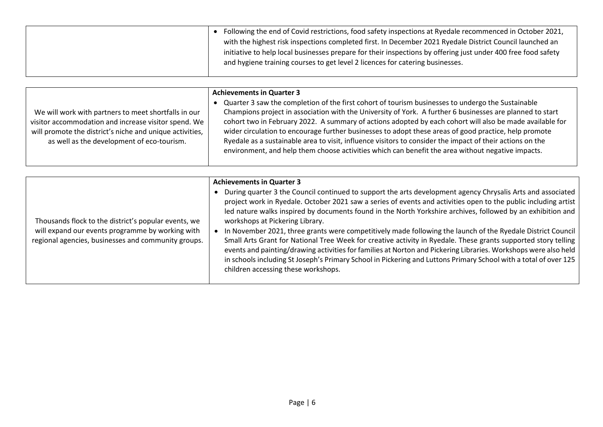| Following the end of Covid restrictions, food safety inspections at Ryedale recommenced in October 2021,      |
|---------------------------------------------------------------------------------------------------------------|
| with the highest risk inspections completed first. In December 2021 Ryedale District Council launched an      |
| initiative to help local businesses prepare for their inspections by offering just under 400 free food safety |
| and hygiene training courses to get level 2 licences for catering businesses.                                 |
|                                                                                                               |

|                                                                                                                                                                                                                        | <b>Achievements in Quarter 3</b>                                                                                                                                                                                                                                                                                                                                                                                                                                                                                                                                                                                                                      |
|------------------------------------------------------------------------------------------------------------------------------------------------------------------------------------------------------------------------|-------------------------------------------------------------------------------------------------------------------------------------------------------------------------------------------------------------------------------------------------------------------------------------------------------------------------------------------------------------------------------------------------------------------------------------------------------------------------------------------------------------------------------------------------------------------------------------------------------------------------------------------------------|
| We will work with partners to meet shortfalls in our<br>visitor accommodation and increase visitor spend. We<br>will promote the district's niche and unique activities,<br>as well as the development of eco-tourism. | Quarter 3 saw the completion of the first cohort of tourism businesses to undergo the Sustainable<br>Champions project in association with the University of York. A further 6 businesses are planned to start<br>cohort two in February 2022. A summary of actions adopted by each cohort will also be made available for<br>wider circulation to encourage further businesses to adopt these areas of good practice, help promote<br>Ryedale as a sustainable area to visit, influence visitors to consider the impact of their actions on the<br>environment, and help them choose activities which can benefit the area without negative impacts. |

|                                                                                                                                                                 | <b>Achievements in Quarter 3</b>                                                                                                                                                                                                                                                                                                                                                                                                                                                                                                                                                                                                                                                                                                                                                                                                                                                                |
|-----------------------------------------------------------------------------------------------------------------------------------------------------------------|-------------------------------------------------------------------------------------------------------------------------------------------------------------------------------------------------------------------------------------------------------------------------------------------------------------------------------------------------------------------------------------------------------------------------------------------------------------------------------------------------------------------------------------------------------------------------------------------------------------------------------------------------------------------------------------------------------------------------------------------------------------------------------------------------------------------------------------------------------------------------------------------------|
| Thousands flock to the district's popular events, we<br>will expand our events programme by working with<br>regional agencies, businesses and community groups. | During quarter 3 the Council continued to support the arts development agency Chrysalis Arts and associated<br>project work in Ryedale. October 2021 saw a series of events and activities open to the public including artist<br>led nature walks inspired by documents found in the North Yorkshire archives, followed by an exhibition and<br>workshops at Pickering Library.<br>In November 2021, three grants were competitively made following the launch of the Ryedale District Council<br>Small Arts Grant for National Tree Week for creative activity in Ryedale. These grants supported story telling<br>events and painting/drawing activities for families at Norton and Pickering Libraries. Workshops were also held<br>in schools including St Joseph's Primary School in Pickering and Luttons Primary School with a total of over 125<br>children accessing these workshops. |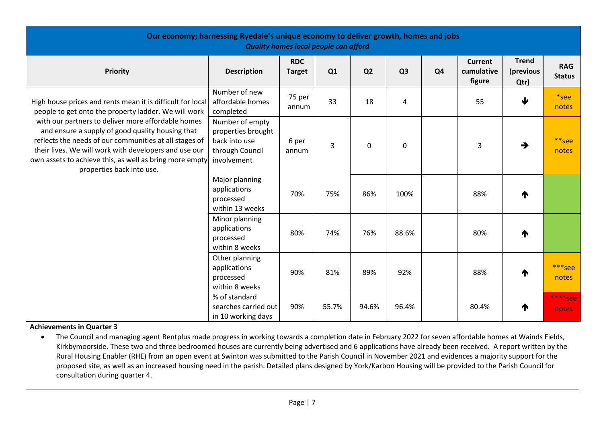| Our economy; harnessing Ryedale's unique economy to deliver growth, homes and jobs<br><b>Quality homes local people can afford</b>                                                                                                                                                                                                                                                                                                      |                                                                                          |                             |       |                |                |                |                                        |                                   |                             |
|-----------------------------------------------------------------------------------------------------------------------------------------------------------------------------------------------------------------------------------------------------------------------------------------------------------------------------------------------------------------------------------------------------------------------------------------|------------------------------------------------------------------------------------------|-----------------------------|-------|----------------|----------------|----------------|----------------------------------------|-----------------------------------|-----------------------------|
| Priority                                                                                                                                                                                                                                                                                                                                                                                                                                | <b>Description</b>                                                                       | <b>RDC</b><br><b>Target</b> | Q1    | Q <sub>2</sub> | Q <sub>3</sub> | Q <sub>4</sub> | <b>Current</b><br>cumulative<br>figure | <b>Trend</b><br>(previous<br>Qtr) | <b>RAG</b><br><b>Status</b> |
| High house prices and rents mean it is difficult for local<br>people to get onto the property ladder. We will work<br>with our partners to deliver more affordable homes<br>and ensure a supply of good quality housing that<br>reflects the needs of our communities at all stages of<br>their lives. We will work with developers and use our<br>own assets to achieve this, as well as bring more empty<br>properties back into use. | Number of new<br>affordable homes<br>completed                                           | 75 per<br>annum             | 33    | 18             | 4              |                | 55                                     | $\blacklozenge$                   | *see<br>notes               |
|                                                                                                                                                                                                                                                                                                                                                                                                                                         | Number of empty<br>properties brought<br>back into use<br>through Council<br>involvement | 6 per<br>annum              | 3     | $\mathbf 0$    | 0              |                | 3                                      | $\rightarrow$                     | **see<br>notes              |
|                                                                                                                                                                                                                                                                                                                                                                                                                                         | Major planning<br>applications<br>processed<br>within 13 weeks                           | 70%                         | 75%   | 86%            | 100%           |                | 88%                                    | ⋔                                 |                             |
|                                                                                                                                                                                                                                                                                                                                                                                                                                         | Minor planning<br>applications<br>processed<br>within 8 weeks                            | 80%                         | 74%   | 76%            | 88.6%          |                | 80%                                    | ₼                                 |                             |
|                                                                                                                                                                                                                                                                                                                                                                                                                                         | Other planning<br>applications<br>processed<br>within 8 weeks                            | 90%                         | 81%   | 89%            | 92%            |                | 88%                                    | Л                                 | ***see<br>notes             |
|                                                                                                                                                                                                                                                                                                                                                                                                                                         | % of standard<br>searches carried out<br>in 10 working days                              | 90%                         | 55.7% | 94.6%          | 96.4%          |                | 80.4%                                  | T                                 | **** See<br>notes           |

• The Council and managing agent Rentplus made progress in working towards a completion date in February 2022 for seven affordable homes at Wainds Fields, Kirkbymoorside. These two and three bedroomed houses are currently being advertised and 6 applications have already been received. A report written by the Rural Housing Enabler (RHE) from an open event at Swinton was submitted to the Parish Council in November 2021 and evidences a majority support for the proposed site, as well as an increased housing need in the parish. Detailed plans designed by York/Karbon Housing will be provided to the Parish Council for consultation during quarter 4.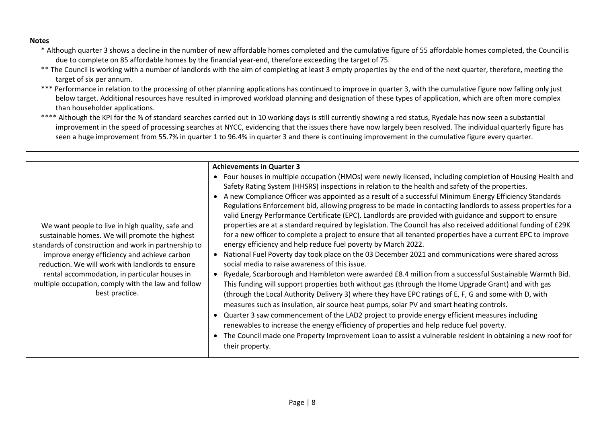#### **Notes**

- \* Although quarter 3 shows a decline in the number of new affordable homes completed and the cumulative figure of 55 affordable homes completed, the Council is due to complete on 85 affordable homes by the financial year-end, therefore exceeding the target of 75.
- \*\* The Council is working with a number of landlords with the aim of completing at least 3 empty properties by the end of the next quarter, therefore, meeting the target of six per annum.
- \*\*\* Performance in relation to the processing of other planning applications has continued to improve in quarter 3, with the cumulative figure now falling only just below target. Additional resources have resulted in improved workload planning and designation of these types of application, which are often more complex than householder applications.
- \*\*\*\* Although the KPI for the % of standard searches carried out in 10 working days is still currently showing a red status, Ryedale has now seen a substantial improvement in the speed of processing searches at NYCC, evidencing that the issues there have now largely been resolved. The individual quarterly figure has seen a huge improvement from 55.7% in quarter 1 to 96.4% in quarter 3 and there is continuing improvement in the cumulative figure every quarter.

|                                                                                                                                                                                                                                                                                                                                                                                          | <b>Achievements in Quarter 3</b>                                                                                                                                                                                                                                                                                                                                                                                                                                                                                                                                                                                                                                                                                                                                                                                                                                                                                                                                                                                                                                                                                                                                                                                                                                                                                                                                                                                                                                                                                                                |
|------------------------------------------------------------------------------------------------------------------------------------------------------------------------------------------------------------------------------------------------------------------------------------------------------------------------------------------------------------------------------------------|-------------------------------------------------------------------------------------------------------------------------------------------------------------------------------------------------------------------------------------------------------------------------------------------------------------------------------------------------------------------------------------------------------------------------------------------------------------------------------------------------------------------------------------------------------------------------------------------------------------------------------------------------------------------------------------------------------------------------------------------------------------------------------------------------------------------------------------------------------------------------------------------------------------------------------------------------------------------------------------------------------------------------------------------------------------------------------------------------------------------------------------------------------------------------------------------------------------------------------------------------------------------------------------------------------------------------------------------------------------------------------------------------------------------------------------------------------------------------------------------------------------------------------------------------|
|                                                                                                                                                                                                                                                                                                                                                                                          | Four houses in multiple occupation (HMOs) were newly licensed, including completion of Housing Health and<br>$\bullet$<br>Safety Rating System (HHSRS) inspections in relation to the health and safety of the properties.                                                                                                                                                                                                                                                                                                                                                                                                                                                                                                                                                                                                                                                                                                                                                                                                                                                                                                                                                                                                                                                                                                                                                                                                                                                                                                                      |
| We want people to live in high quality, safe and<br>sustainable homes. We will promote the highest<br>standards of construction and work in partnership to<br>improve energy efficiency and achieve carbon<br>reduction. We will work with landlords to ensure<br>rental accommodation, in particular houses in<br>multiple occupation, comply with the law and follow<br>best practice. | A new Compliance Officer was appointed as a result of a successful Minimum Energy Efficiency Standards<br>Regulations Enforcement bid, allowing progress to be made in contacting landlords to assess properties for a<br>valid Energy Performance Certificate (EPC). Landlords are provided with guidance and support to ensure<br>properties are at a standard required by legislation. The Council has also received additional funding of £29K<br>for a new officer to complete a project to ensure that all tenanted properties have a current EPC to improve<br>energy efficiency and help reduce fuel poverty by March 2022.<br>National Fuel Poverty day took place on the 03 December 2021 and communications were shared across<br>social media to raise awareness of this issue.<br>Ryedale, Scarborough and Hambleton were awarded £8.4 million from a successful Sustainable Warmth Bid.<br>This funding will support properties both without gas (through the Home Upgrade Grant) and with gas<br>(through the Local Authority Delivery 3) where they have EPC ratings of E, F, G and some with D, with<br>measures such as insulation, air source heat pumps, solar PV and smart heating controls.<br>Quarter 3 saw commencement of the LAD2 project to provide energy efficient measures including<br>renewables to increase the energy efficiency of properties and help reduce fuel poverty.<br>The Council made one Property Improvement Loan to assist a vulnerable resident in obtaining a new roof for<br>their property. |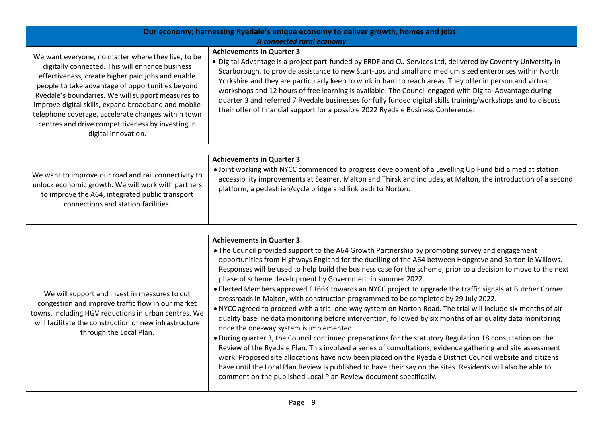| Our economy; harnessing Ryedale's unique economy to deliver growth, homes and jobs<br>A connected rural economy                                                                                                                                                                                                                                                                                                                                              |                                                                                                                                                                                                                                                                                                                                                                                                                                                                                                                                                                                                                                                                                            |  |  |
|--------------------------------------------------------------------------------------------------------------------------------------------------------------------------------------------------------------------------------------------------------------------------------------------------------------------------------------------------------------------------------------------------------------------------------------------------------------|--------------------------------------------------------------------------------------------------------------------------------------------------------------------------------------------------------------------------------------------------------------------------------------------------------------------------------------------------------------------------------------------------------------------------------------------------------------------------------------------------------------------------------------------------------------------------------------------------------------------------------------------------------------------------------------------|--|--|
| We want everyone, no matter where they live, to be<br>digitally connected. This will enhance business<br>effectiveness, create higher paid jobs and enable<br>people to take advantage of opportunities beyond<br>Ryedale's boundaries. We will support measures to<br>improve digital skills, expand broadband and mobile<br>telephone coverage, accelerate changes within town<br>centres and drive competitiveness by investing in<br>digital innovation. | <b>Achievements in Quarter 3</b><br>• Digital Advantage is a project part-funded by ERDF and CU Services Ltd, delivered by Coventry University in<br>Scarborough, to provide assistance to new Start-ups and small and medium sized enterprises within North<br>Yorkshire and they are particularly keen to work in hard to reach areas. They offer in person and virtual<br>workshops and 12 hours of free learning is available. The Council engaged with Digital Advantage during<br>quarter 3 and referred 7 Ryedale businesses for fully funded digital skills training/workshops and to discuss<br>their offer of financial support for a possible 2022 Ryedale Business Conference. |  |  |

|                                                                                                                                                                                                      | <b>Achievements in Quarter 3</b>                                                                                                                                                                                                                                                         |
|------------------------------------------------------------------------------------------------------------------------------------------------------------------------------------------------------|------------------------------------------------------------------------------------------------------------------------------------------------------------------------------------------------------------------------------------------------------------------------------------------|
| We want to improve our road and rail connectivity to<br>unlock economic growth. We will work with partners<br>to improve the A64, integrated public transport<br>connections and station facilities. | • Joint working with NYCC commenced to progress development of a Levelling Up Fund bid aimed at station<br>accessibility improvements at Seamer, Malton and Thirsk and includes, at Malton, the introduction of a second<br>platform, a pedestrian/cycle bridge and link path to Norton. |

|                                                                                                                                                                                                                                                 | <b>Achievements in Quarter 3</b>                                                                                                                                                                                                                                                                                                                                                                                                                                                                                                                                                                                                                                                                                                                                                                                                                                                                                                                                                                                                                                                                                                                                                                                                                                                                                                                                                                        |
|-------------------------------------------------------------------------------------------------------------------------------------------------------------------------------------------------------------------------------------------------|---------------------------------------------------------------------------------------------------------------------------------------------------------------------------------------------------------------------------------------------------------------------------------------------------------------------------------------------------------------------------------------------------------------------------------------------------------------------------------------------------------------------------------------------------------------------------------------------------------------------------------------------------------------------------------------------------------------------------------------------------------------------------------------------------------------------------------------------------------------------------------------------------------------------------------------------------------------------------------------------------------------------------------------------------------------------------------------------------------------------------------------------------------------------------------------------------------------------------------------------------------------------------------------------------------------------------------------------------------------------------------------------------------|
| We will support and invest in measures to cut<br>congestion and improve traffic flow in our market<br>towns, including HGV reductions in urban centres. We<br>will facilitate the construction of new infrastructure<br>through the Local Plan. | • The Council provided support to the A64 Growth Partnership by promoting survey and engagement<br>opportunities from Highways England for the duelling of the A64 between Hopgrove and Barton le Willows.<br>Responses will be used to help build the business case for the scheme, prior to a decision to move to the next<br>phase of scheme development by Government in summer 2022.<br>• Elected Members approved £166K towards an NYCC project to upgrade the traffic signals at Butcher Corner<br>crossroads in Malton, with construction programmed to be completed by 29 July 2022.<br>. NYCC agreed to proceed with a trial one-way system on Norton Road. The trial will include six months of air<br>quality baseline data monitoring before intervention, followed by six months of air quality data monitoring<br>once the one-way system is implemented.<br>. During quarter 3, the Council continued preparations for the statutory Regulation 18 consultation on the<br>Review of the Ryedale Plan. This involved a series of consultations, evidence gathering and site assessment<br>work. Proposed site allocations have now been placed on the Ryedale District Council website and citizens<br>have until the Local Plan Review is published to have their say on the sites. Residents will also be able to<br>comment on the published Local Plan Review document specifically. |
|                                                                                                                                                                                                                                                 |                                                                                                                                                                                                                                                                                                                                                                                                                                                                                                                                                                                                                                                                                                                                                                                                                                                                                                                                                                                                                                                                                                                                                                                                                                                                                                                                                                                                         |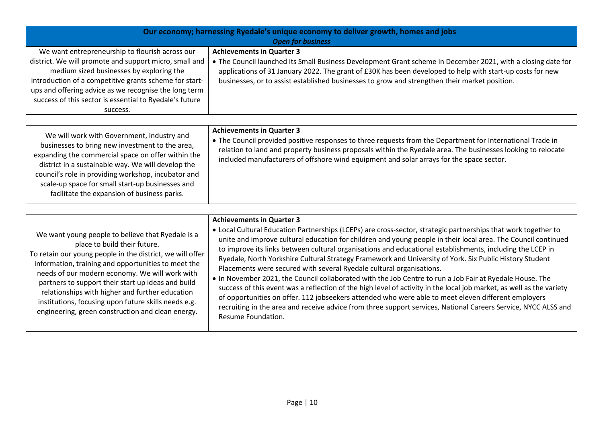|                                                                                                                                                                                                                                                                                                                                                                                                                                                                               | Our economy; harnessing Ryedale's unique economy to deliver growth, homes and jobs<br><b>Open for business</b>                                                                                                                                                                                                                                                                                                                                                                                                                                                                                                                                                                                                                                                                                                                                                                                                                                                                                                                                         |
|-------------------------------------------------------------------------------------------------------------------------------------------------------------------------------------------------------------------------------------------------------------------------------------------------------------------------------------------------------------------------------------------------------------------------------------------------------------------------------|--------------------------------------------------------------------------------------------------------------------------------------------------------------------------------------------------------------------------------------------------------------------------------------------------------------------------------------------------------------------------------------------------------------------------------------------------------------------------------------------------------------------------------------------------------------------------------------------------------------------------------------------------------------------------------------------------------------------------------------------------------------------------------------------------------------------------------------------------------------------------------------------------------------------------------------------------------------------------------------------------------------------------------------------------------|
| We want entrepreneurship to flourish across our<br>district. We will promote and support micro, small and<br>medium sized businesses by exploring the<br>introduction of a competitive grants scheme for start-<br>ups and offering advice as we recognise the long term<br>success of this sector is essential to Ryedale's future<br>success.                                                                                                                               | <b>Achievements in Quarter 3</b><br>• The Council launched its Small Business Development Grant scheme in December 2021, with a closing date for<br>applications of 31 January 2022. The grant of £30K has been developed to help with start-up costs for new<br>businesses, or to assist established businesses to grow and strengthen their market position.                                                                                                                                                                                                                                                                                                                                                                                                                                                                                                                                                                                                                                                                                         |
| We will work with Government, industry and<br>businesses to bring new investment to the area,<br>expanding the commercial space on offer within the<br>district in a sustainable way. We will develop the<br>council's role in providing workshop, incubator and<br>scale-up space for small start-up businesses and<br>facilitate the expansion of business parks.                                                                                                           | <b>Achievements in Quarter 3</b><br>• The Council provided positive responses to three requests from the Department for International Trade in<br>relation to land and property business proposals within the Ryedale area. The businesses looking to relocate<br>included manufacturers of offshore wind equipment and solar arrays for the space sector.                                                                                                                                                                                                                                                                                                                                                                                                                                                                                                                                                                                                                                                                                             |
| We want young people to believe that Ryedale is a<br>place to build their future.<br>To retain our young people in the district, we will offer<br>information, training and opportunities to meet the<br>needs of our modern economy. We will work with<br>partners to support their start up ideas and build<br>relationships with higher and further education<br>institutions, focusing upon future skills needs e.g.<br>engineering, green construction and clean energy. | <b>Achievements in Quarter 3</b><br>• Local Cultural Education Partnerships (LCEPs) are cross-sector, strategic partnerships that work together to<br>unite and improve cultural education for children and young people in their local area. The Council continued<br>to improve its links between cultural organisations and educational establishments, including the LCEP in<br>Ryedale, North Yorkshire Cultural Strategy Framework and University of York. Six Public History Student<br>Placements were secured with several Ryedale cultural organisations.<br>. In November 2021, the Council collaborated with the Job Centre to run a Job Fair at Ryedale House. The<br>success of this event was a reflection of the high level of activity in the local job market, as well as the variety<br>of opportunities on offer. 112 jobseekers attended who were able to meet eleven different employers<br>recruiting in the area and receive advice from three support services, National Careers Service, NYCC ALSS and<br>Resume Foundation. |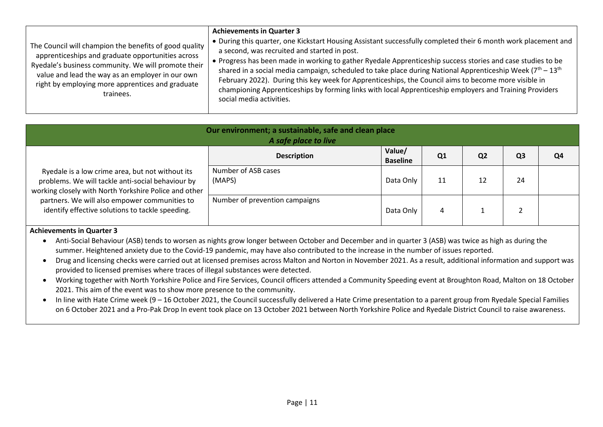| The Council will champion the benefits of good quality<br>apprenticeships and graduate opportunities across<br>Ryedale's business community. We will promote their<br>value and lead the way as an employer in our own<br>right by employing more apprentices and graduate<br>trainees. | <b>Achievements in Quarter 3</b><br>• During this quarter, one Kickstart Housing Assistant successfully completed their 6 month work placement and<br>a second, was recruited and started in post.<br>. Progress has been made in working to gather Ryedale Apprenticeship success stories and case studies to be<br>shared in a social media campaign, scheduled to take place during National Apprenticeship Week ( $7th - 13th$<br>February 2022). During this key week for Apprenticeships, the Council aims to become more visible in<br>championing Apprenticeships by forming links with local Apprenticeship employers and Training Providers<br>social media activities. |
|-----------------------------------------------------------------------------------------------------------------------------------------------------------------------------------------------------------------------------------------------------------------------------------------|-----------------------------------------------------------------------------------------------------------------------------------------------------------------------------------------------------------------------------------------------------------------------------------------------------------------------------------------------------------------------------------------------------------------------------------------------------------------------------------------------------------------------------------------------------------------------------------------------------------------------------------------------------------------------------------|
|                                                                                                                                                                                                                                                                                         |                                                                                                                                                                                                                                                                                                                                                                                                                                                                                                                                                                                                                                                                                   |

| Our environment; a sustainable, safe and clean place<br>A safe place to live                                                                                                                                                                                        |                                |                           |                |                |                |    |
|---------------------------------------------------------------------------------------------------------------------------------------------------------------------------------------------------------------------------------------------------------------------|--------------------------------|---------------------------|----------------|----------------|----------------|----|
|                                                                                                                                                                                                                                                                     | <b>Description</b>             | Value/<br><b>Baseline</b> | Q <sub>1</sub> | Q <sub>2</sub> | Q <sub>3</sub> | Q4 |
| Ryedale is a low crime area, but not without its<br>problems. We will tackle anti-social behaviour by<br>working closely with North Yorkshire Police and other<br>partners. We will also empower communities to<br>identify effective solutions to tackle speeding. | Number of ASB cases<br>(MAPS)  | Data Only                 | 11             | 12             | 24             |    |
|                                                                                                                                                                                                                                                                     | Number of prevention campaigns | Data Only                 | 4              |                |                |    |

- Anti-Social Behaviour (ASB) tends to worsen as nights grow longer between October and December and in quarter 3 (ASB) was twice as high as during the summer. Heightened anxiety due to the Covid-19 pandemic, may have also contributed to the increase in the number of issues reported.
- Drug and licensing checks were carried out at licensed premises across Malton and Norton in November 2021. As a result, additional information and support was provided to licensed premises where traces of illegal substances were detected.
- Working together with North Yorkshire Police and Fire Services, Council officers attended a Community Speeding event at Broughton Road, Malton on 18 October 2021. This aim of the event was to show more presence to the community.
- In line with Hate Crime week (9 16 October 2021, the Council successfully delivered a Hate Crime presentation to a parent group from Ryedale Special Families on 6 October 2021 and a Pro-Pak Drop In event took place on 13 October 2021 between North Yorkshire Police and Ryedale District Council to raise awareness.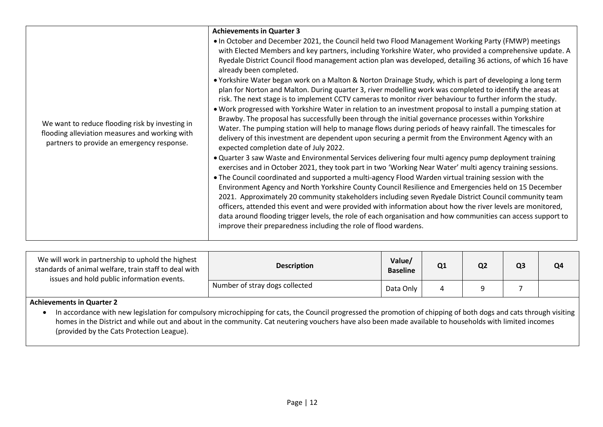| We want to reduce flooding risk by investing in<br>flooding alleviation measures and working with<br>partners to provide an emergency response. | <b>Achievements in Quarter 3</b><br>. In October and December 2021, the Council held two Flood Management Working Party (FMWP) meetings<br>with Elected Members and key partners, including Yorkshire Water, who provided a comprehensive update. A<br>Ryedale District Council flood management action plan was developed, detailing 36 actions, of which 16 have<br>already been completed.<br>• Yorkshire Water began work on a Malton & Norton Drainage Study, which is part of developing a long term<br>plan for Norton and Malton. During quarter 3, river modelling work was completed to identify the areas at<br>risk. The next stage is to implement CCTV cameras to monitor river behaviour to further inform the study.<br>. Work progressed with Yorkshire Water in relation to an investment proposal to install a pumping station at<br>Brawby. The proposal has successfully been through the initial governance processes within Yorkshire<br>Water. The pumping station will help to manage flows during periods of heavy rainfall. The timescales for<br>delivery of this investment are dependent upon securing a permit from the Environment Agency with an<br>expected completion date of July 2022.<br>. Quarter 3 saw Waste and Environmental Services delivering four multi agency pump deployment training<br>exercises and in October 2021, they took part in two 'Working Near Water' multi agency training sessions.<br>. The Council coordinated and supported a multi-agency Flood Warden virtual training session with the<br>Environment Agency and North Yorkshire County Council Resilience and Emergencies held on 15 December<br>2021. Approximately 20 community stakeholders including seven Ryedale District Council community team<br>officers, attended this event and were provided with information about how the river levels are monitored, |
|-------------------------------------------------------------------------------------------------------------------------------------------------|--------------------------------------------------------------------------------------------------------------------------------------------------------------------------------------------------------------------------------------------------------------------------------------------------------------------------------------------------------------------------------------------------------------------------------------------------------------------------------------------------------------------------------------------------------------------------------------------------------------------------------------------------------------------------------------------------------------------------------------------------------------------------------------------------------------------------------------------------------------------------------------------------------------------------------------------------------------------------------------------------------------------------------------------------------------------------------------------------------------------------------------------------------------------------------------------------------------------------------------------------------------------------------------------------------------------------------------------------------------------------------------------------------------------------------------------------------------------------------------------------------------------------------------------------------------------------------------------------------------------------------------------------------------------------------------------------------------------------------------------------------------------------------------------------------------------------------------------------------------------------------------------|
|                                                                                                                                                 | data around flooding trigger levels, the role of each organisation and how communities can access support to<br>improve their preparedness including the role of flood wardens.                                                                                                                                                                                                                                                                                                                                                                                                                                                                                                                                                                                                                                                                                                                                                                                                                                                                                                                                                                                                                                                                                                                                                                                                                                                                                                                                                                                                                                                                                                                                                                                                                                                                                                            |
|                                                                                                                                                 |                                                                                                                                                                                                                                                                                                                                                                                                                                                                                                                                                                                                                                                                                                                                                                                                                                                                                                                                                                                                                                                                                                                                                                                                                                                                                                                                                                                                                                                                                                                                                                                                                                                                                                                                                                                                                                                                                            |

| We will work in partnership to uphold the highest<br>standards of animal welfare, train staff to deal with<br>issues and hold public information events. | <b>Description</b>             | Value/<br><b>Baseline</b> | Q1 | Q <sub>2</sub> | Q <sub>3</sub> | Q <sub>4</sub> |
|----------------------------------------------------------------------------------------------------------------------------------------------------------|--------------------------------|---------------------------|----|----------------|----------------|----------------|
|                                                                                                                                                          | Number of stray dogs collected | Data Only                 |    |                |                |                |

• In accordance with new legislation for compulsory microchipping for cats, the Council progressed the promotion of chipping of both dogs and cats through visiting homes in the District and while out and about in the community. Cat neutering vouchers have also been made available to households with limited incomes (provided by the Cats Protection League).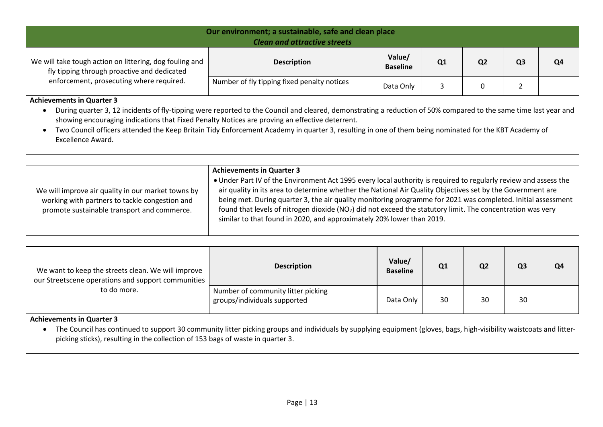| Our environment; a sustainable, safe and clean place<br><b>Clean and attractive streets</b>            |                                             |                           |                |                |    |    |
|--------------------------------------------------------------------------------------------------------|---------------------------------------------|---------------------------|----------------|----------------|----|----|
| We will take tough action on littering, dog fouling and<br>fly tipping through proactive and dedicated | <b>Description</b>                          | Value/<br><b>Baseline</b> | Q <sub>1</sub> | Q <sub>2</sub> | Q3 | Q4 |
| enforcement, prosecuting where required.                                                               | Number of fly tipping fixed penalty notices | Data Only                 |                |                |    |    |

 During quarter 3, 12 incidents of fly-tipping were reported to the Council and cleared, demonstrating a reduction of 50% compared to the same time last year and showing encouraging indications that Fixed Penalty Notices are proving an effective deterrent.

 Two Council officers attended the Keep Britain Tidy Enforcement Academy in quarter 3, resulting in one of them being nominated for the KBT Academy of Excellence Award.

|                                                                                                                                                     | <b>Achievements in Quarter 3</b>                                                                                                                                                                                                                                                                                                                                                                                                                                                                                                                   |
|-----------------------------------------------------------------------------------------------------------------------------------------------------|----------------------------------------------------------------------------------------------------------------------------------------------------------------------------------------------------------------------------------------------------------------------------------------------------------------------------------------------------------------------------------------------------------------------------------------------------------------------------------------------------------------------------------------------------|
| We will improve air quality in our market towns by<br>working with partners to tackle congestion and<br>promote sustainable transport and commerce. | • Under Part IV of the Environment Act 1995 every local authority is required to regularly review and assess the<br>air quality in its area to determine whether the National Air Quality Objectives set by the Government are<br>being met. During quarter 3, the air quality monitoring programme for 2021 was completed. Initial assessment<br>found that levels of nitrogen dioxide (NO <sub>2</sub> ) did not exceed the statutory limit. The concentration was very<br>similar to that found in 2020, and approximately 20% lower than 2019. |
|                                                                                                                                                     |                                                                                                                                                                                                                                                                                                                                                                                                                                                                                                                                                    |

| We want to keep the streets clean. We will improve<br>our Streetscene operations and support communities<br>to do more. | <b>Description</b>                                                 | Value/<br><b>Baseline</b> | Q1 | Q <sub>2</sub> | Q <sub>3</sub> | Q <sub>4</sub> |
|-------------------------------------------------------------------------------------------------------------------------|--------------------------------------------------------------------|---------------------------|----|----------------|----------------|----------------|
|                                                                                                                         | Number of community litter picking<br>groups/individuals supported | Data Only                 | 30 | 30             | 30             |                |

#### **Achievements in Quarter 3**

• The Council has continued to support 30 community litter picking groups and individuals by supplying equipment (gloves, bags, high-visibility waistcoats and litterpicking sticks), resulting in the collection of 153 bags of waste in quarter 3.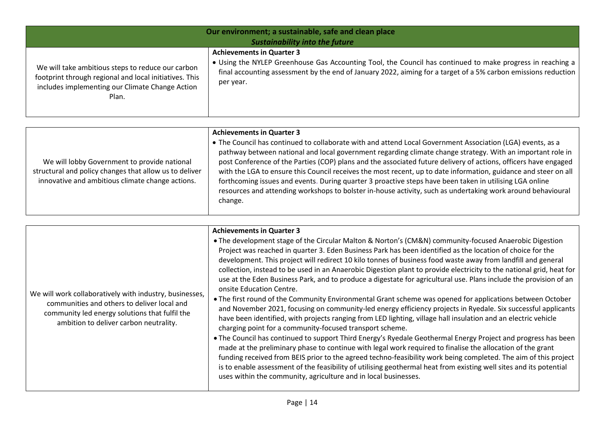| Our environment; a sustainable, safe and clean place<br><b>Sustainability into the future</b> |                                                                                                                |  |  |  |  |
|-----------------------------------------------------------------------------------------------|----------------------------------------------------------------------------------------------------------------|--|--|--|--|
| We will take ambitious steps to reduce our carbon                                             | <b>Achievements in Quarter 3</b>                                                                               |  |  |  |  |
| footprint through regional and local initiatives. This                                        | • Using the NYLEP Greenhouse Gas Accounting Tool, the Council has continued to make progress in reaching a     |  |  |  |  |
| includes implementing our Climate Change Action                                               | final accounting assessment by the end of January 2022, aiming for a target of a 5% carbon emissions reduction |  |  |  |  |
| Plan.                                                                                         | per year.                                                                                                      |  |  |  |  |

|                                                                                                                                                            | <b>Achievements in Quarter 3</b>                                                                                                                                                                                                                                                                                                                                                                                                                                                                                                                                                                                                                                                                    |
|------------------------------------------------------------------------------------------------------------------------------------------------------------|-----------------------------------------------------------------------------------------------------------------------------------------------------------------------------------------------------------------------------------------------------------------------------------------------------------------------------------------------------------------------------------------------------------------------------------------------------------------------------------------------------------------------------------------------------------------------------------------------------------------------------------------------------------------------------------------------------|
| We will lobby Government to provide national<br>structural and policy changes that allow us to deliver<br>innovative and ambitious climate change actions. | • The Council has continued to collaborate with and attend Local Government Association (LGA) events, as a<br>pathway between national and local government regarding climate change strategy. With an important role in<br>post Conference of the Parties (COP) plans and the associated future delivery of actions, officers have engaged<br>with the LGA to ensure this Council receives the most recent, up to date information, guidance and steer on all<br>forthcoming issues and events. During quarter 3 proactive steps have been taken in utilising LGA online<br>resources and attending workshops to bolster in-house activity, such as undertaking work around behavioural<br>change. |

| We will work collaboratively with industry, businesses,<br>communities and others to deliver local and<br>community led energy solutions that fulfil the<br>ambition to deliver carbon neutrality. | <b>Achievements in Quarter 3</b><br>• The development stage of the Circular Malton & Norton's (CM&N) community-focused Anaerobic Digestion<br>Project was reached in quarter 3. Eden Business Park has been identified as the location of choice for the<br>development. This project will redirect 10 kilo tonnes of business food waste away from landfill and general<br>collection, instead to be used in an Anaerobic Digestion plant to provide electricity to the national grid, heat for<br>use at the Eden Business Park, and to produce a digestate for agricultural use. Plans include the provision of an<br>onsite Education Centre.<br>. The first round of the Community Environmental Grant scheme was opened for applications between October<br>and November 2021, focusing on community-led energy efficiency projects in Ryedale. Six successful applicants<br>have been identified, with projects ranging from LED lighting, village hall insulation and an electric vehicle<br>charging point for a community-focused transport scheme.<br>• The Council has continued to support Third Energy's Ryedale Geothermal Energy Project and progress has been<br>made at the preliminary phase to continue with legal work required to finalise the allocation of the grant<br>funding received from BEIS prior to the agreed techno-feasibility work being completed. The aim of this project<br>is to enable assessment of the feasibility of utilising geothermal heat from existing well sites and its potential<br>uses within the community, agriculture and in local businesses. |
|----------------------------------------------------------------------------------------------------------------------------------------------------------------------------------------------------|----------------------------------------------------------------------------------------------------------------------------------------------------------------------------------------------------------------------------------------------------------------------------------------------------------------------------------------------------------------------------------------------------------------------------------------------------------------------------------------------------------------------------------------------------------------------------------------------------------------------------------------------------------------------------------------------------------------------------------------------------------------------------------------------------------------------------------------------------------------------------------------------------------------------------------------------------------------------------------------------------------------------------------------------------------------------------------------------------------------------------------------------------------------------------------------------------------------------------------------------------------------------------------------------------------------------------------------------------------------------------------------------------------------------------------------------------------------------------------------------------------------------------------------------------------------------------------------------------------|
|                                                                                                                                                                                                    |                                                                                                                                                                                                                                                                                                                                                                                                                                                                                                                                                                                                                                                                                                                                                                                                                                                                                                                                                                                                                                                                                                                                                                                                                                                                                                                                                                                                                                                                                                                                                                                                          |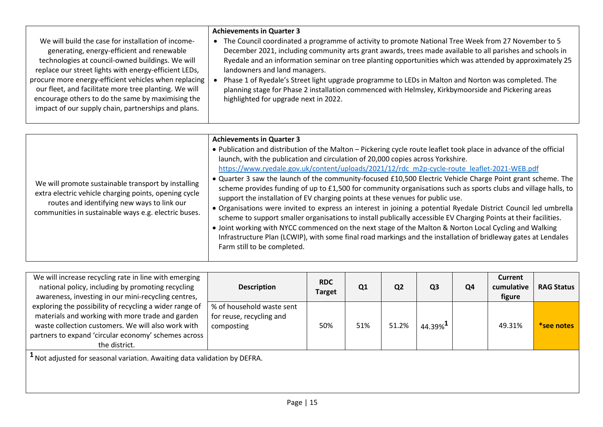|                                                                                                                                                                                                                                                                                                                                 | <b>Achievements in Quarter 3</b>                                                                                                                                                                                                                                                                                                                                                                                                                                                                                                                                            |
|---------------------------------------------------------------------------------------------------------------------------------------------------------------------------------------------------------------------------------------------------------------------------------------------------------------------------------|-----------------------------------------------------------------------------------------------------------------------------------------------------------------------------------------------------------------------------------------------------------------------------------------------------------------------------------------------------------------------------------------------------------------------------------------------------------------------------------------------------------------------------------------------------------------------------|
| We will build the case for installation of income-<br>generating, energy-efficient and renewable<br>technologies at council-owned buildings. We will<br>replace our street lights with energy-efficient LEDs,<br>procure more energy-efficient vehicles when replacing<br>our fleet, and facilitate more tree planting. We will | The Council coordinated a programme of activity to promote National Tree Week from 27 November to 5<br>December 2021, including community arts grant awards, trees made available to all parishes and schools in<br>Ryedale and an information seminar on tree planting opportunities which was attended by approximately 25<br>landowners and land managers.<br>Phase 1 of Ryedale's Street light upgrade programme to LEDs in Malton and Norton was completed. The<br>planning stage for Phase 2 installation commenced with Helmsley, Kirkbymoorside and Pickering areas |
| encourage others to do the same by maximising the<br>impact of our supply chain, partnerships and plans.                                                                                                                                                                                                                        | highlighted for upgrade next in 2022.                                                                                                                                                                                                                                                                                                                                                                                                                                                                                                                                       |

|                                                                                                                                                                                                                     | <b>Achievements in Quarter 3</b>                                                                                                                                                                                                                                                                                                                                                                                                                                                                                                                                                                                                                                                                                                                                                                                                                                                                                                                                                                                                                                                            |
|---------------------------------------------------------------------------------------------------------------------------------------------------------------------------------------------------------------------|---------------------------------------------------------------------------------------------------------------------------------------------------------------------------------------------------------------------------------------------------------------------------------------------------------------------------------------------------------------------------------------------------------------------------------------------------------------------------------------------------------------------------------------------------------------------------------------------------------------------------------------------------------------------------------------------------------------------------------------------------------------------------------------------------------------------------------------------------------------------------------------------------------------------------------------------------------------------------------------------------------------------------------------------------------------------------------------------|
| We will promote sustainable transport by installing<br>extra electric vehicle charging points, opening cycle<br>routes and identifying new ways to link our<br>communities in sustainable ways e.g. electric buses. | . Publication and distribution of the Malton - Pickering cycle route leaflet took place in advance of the official<br>launch, with the publication and circulation of 20,000 copies across Yorkshire.<br>https://www.ryedale.gov.uk/content/uploads/2021/12/rdc_m2p-cycle-route_leaflet-2021-WEB.pdf<br>. Quarter 3 saw the launch of the community-focused £10,500 Electric Vehicle Charge Point grant scheme. The<br>scheme provides funding of up to £1,500 for community organisations such as sports clubs and village halls, to<br>support the installation of EV charging points at these venues for public use.<br>• Organisations were invited to express an interest in joining a potential Ryedale District Council led umbrella<br>scheme to support smaller organisations to install publically accessible EV Charging Points at their facilities.<br>• Joint working with NYCC commenced on the next stage of the Malton & Norton Local Cycling and Walking<br>Infrastructure Plan (LCWIP), with some final road markings and the installation of bridleway gates at Lendales |

| We will increase recycling rate in line with emerging<br>national policy, including by promoting recycling<br>awareness, investing in our mini-recycling centres,                                                                          | <b>Description</b>                                                  | <b>RDC</b><br><b>Target</b> | Q1  | Q <sub>2</sub> | Q <sub>3</sub>                               | Q <sub>4</sub> | <b>Current</b><br>cumulative<br>figure | <b>RAG Status</b> |
|--------------------------------------------------------------------------------------------------------------------------------------------------------------------------------------------------------------------------------------------|---------------------------------------------------------------------|-----------------------------|-----|----------------|----------------------------------------------|----------------|----------------------------------------|-------------------|
| exploring the possibility of recycling a wider range of<br>materials and working with more trade and garden<br>waste collection customers. We will also work with<br>partners to expand 'circular economy' schemes across<br>the district. | % of household waste sent<br>for reuse, recycling and<br>composting | 50%                         | 51% | 51.2%          | $44.39\%$ <sup><math>\textbf{L}</math></sup> |                | 49.31%                                 | *see notes        |
|                                                                                                                                                                                                                                            |                                                                     |                             |     |                |                                              |                |                                        |                   |

**<sup>1</sup>**Not adjusted for seasonal variation. Awaiting data validation by DEFRA.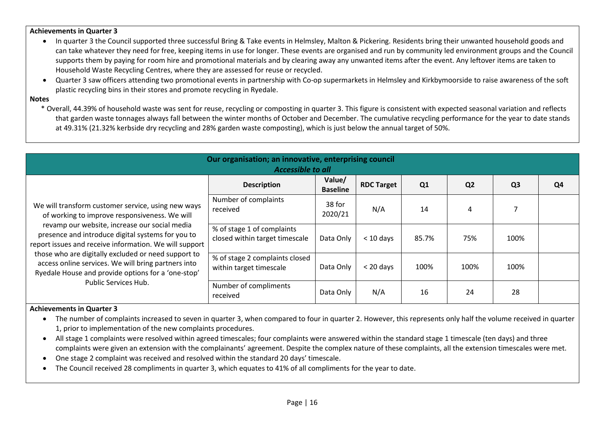- In quarter 3 the Council supported three successful Bring & Take events in Helmsley, Malton & Pickering. Residents bring their unwanted household goods and can take whatever they need for free, keeping items in use for longer. These events are organised and run by community led environment groups and the Council supports them by paying for room hire and promotional materials and by clearing away any unwanted items after the event. Any leftover items are taken to Household Waste Recycling Centres, where they are assessed for reuse or recycled.
- Quarter 3 saw officers attending two promotional events in partnership with Co-op supermarkets in Helmsley and Kirkbymoorside to raise awareness of the soft plastic recycling bins in their stores and promote recycling in Ryedale.

#### **Notes**

\* Overall, 44.39% of household waste was sent for reuse, recycling or composting in quarter 3. This figure is consistent with expected seasonal variation and reflects that garden waste tonnages always fall between the winter months of October and December. The cumulative recycling performance for the year to date stands at 49.31% (21.32% kerbside dry recycling and 28% garden waste composting), which is just below the annual target of 50%.

| Our organisation; an innovative, enterprising council<br><b>Accessible to all</b>                                                                                                                                                                                                                                                                                                                                                                               |                                                              |                           |                   |       |                |                |    |  |
|-----------------------------------------------------------------------------------------------------------------------------------------------------------------------------------------------------------------------------------------------------------------------------------------------------------------------------------------------------------------------------------------------------------------------------------------------------------------|--------------------------------------------------------------|---------------------------|-------------------|-------|----------------|----------------|----|--|
| We will transform customer service, using new ways<br>of working to improve responsiveness. We will<br>revamp our website, increase our social media<br>presence and introduce digital systems for you to<br>report issues and receive information. We will support<br>those who are digitally excluded or need support to<br>access online services. We will bring partners into<br>Ryedale House and provide options for a 'one-stop'<br>Public Services Hub. | <b>Description</b>                                           | Value/<br><b>Baseline</b> | <b>RDC Target</b> | Q1    | Q <sub>2</sub> | Q <sub>3</sub> | Q4 |  |
|                                                                                                                                                                                                                                                                                                                                                                                                                                                                 | Number of complaints<br>received                             | 38 for<br>2020/21         | N/A               | 14    | 4              |                |    |  |
|                                                                                                                                                                                                                                                                                                                                                                                                                                                                 | % of stage 1 of complaints<br>closed within target timescale | Data Only                 | $<$ 10 days       | 85.7% | 75%            | 100%           |    |  |
|                                                                                                                                                                                                                                                                                                                                                                                                                                                                 | % of stage 2 complaints closed<br>within target timescale    | Data Only                 | $<$ 20 days       | 100%  | 100%           | 100%           |    |  |
|                                                                                                                                                                                                                                                                                                                                                                                                                                                                 | Number of compliments<br>received                            | Data Only                 | N/A               | 16    | 24             | 28             |    |  |

- The number of complaints increased to seven in quarter 3, when compared to four in quarter 2. However, this represents only half the volume received in quarter 1, prior to implementation of the new complaints procedures.
- All stage 1 complaints were resolved within agreed timescales; four complaints were answered within the standard stage 1 timescale (ten days) and three complaints were given an extension with the complainants' agreement. Despite the complex nature of these complaints, all the extension timescales were met.
- One stage 2 complaint was received and resolved within the standard 20 days' timescale.
- The Council received 28 compliments in quarter 3, which equates to 41% of all compliments for the year to date.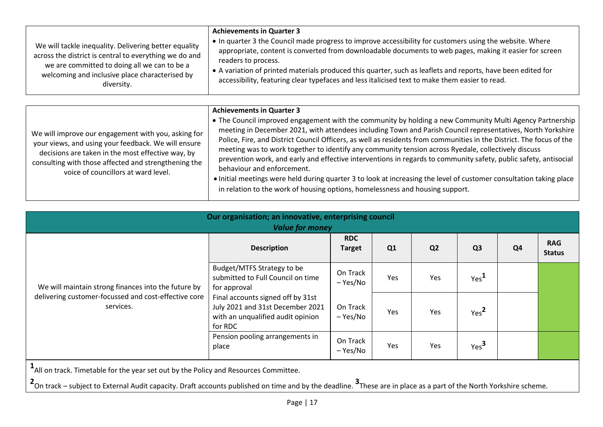| We will tackle inequality. Delivering better equality<br>across the district is central to everything we do and<br>we are committed to doing all we can to be a<br>welcoming and inclusive place characterised by<br>diversity. | <b>Achievements in Quarter 3</b><br>• In quarter 3 the Council made progress to improve accessibility for customers using the website. Where<br>appropriate, content is converted from downloadable documents to web pages, making it easier for screen<br>readers to process.<br>• A variation of printed materials produced this quarter, such as leaflets and reports, have been edited for<br>accessibility, featuring clear typefaces and less italicised text to make them easier to read. |
|---------------------------------------------------------------------------------------------------------------------------------------------------------------------------------------------------------------------------------|--------------------------------------------------------------------------------------------------------------------------------------------------------------------------------------------------------------------------------------------------------------------------------------------------------------------------------------------------------------------------------------------------------------------------------------------------------------------------------------------------|
|---------------------------------------------------------------------------------------------------------------------------------------------------------------------------------------------------------------------------------|--------------------------------------------------------------------------------------------------------------------------------------------------------------------------------------------------------------------------------------------------------------------------------------------------------------------------------------------------------------------------------------------------------------------------------------------------------------------------------------------------|

| We will improve our engagement with you, asking for<br>your views, and using your feedback. We will ensure<br>decisions are taken in the most effective way, by<br>consulting with those affected and strengthening the | <b>Achievements in Quarter 3</b><br>• The Council improved engagement with the community by holding a new Community Multi Agency Partnership  <br>meeting in December 2021, with attendees including Town and Parish Council representatives, North Yorkshire<br>Police, Fire, and District Council Officers, as well as residents from communities in the District. The focus of the<br>meeting was to work together to identify any community tension across Ryedale, collectively discuss<br>prevention work, and early and effective interventions in regards to community safety, public safety, antisocial<br>behaviour and enforcement. |
|-------------------------------------------------------------------------------------------------------------------------------------------------------------------------------------------------------------------------|------------------------------------------------------------------------------------------------------------------------------------------------------------------------------------------------------------------------------------------------------------------------------------------------------------------------------------------------------------------------------------------------------------------------------------------------------------------------------------------------------------------------------------------------------------------------------------------------------------------------------------------------|
| voice of councillors at ward level.                                                                                                                                                                                     | • Initial meetings were held during quarter 3 to look at increasing the level of customer consultation taking place<br>in relation to the work of housing options, homelessness and housing support.                                                                                                                                                                                                                                                                                                                                                                                                                                           |

| Our organisation; an innovative, enterprising council<br><b>Value for money</b>                                          |                                                                                                                       |                             |     |                |                  |                |                             |  |
|--------------------------------------------------------------------------------------------------------------------------|-----------------------------------------------------------------------------------------------------------------------|-----------------------------|-----|----------------|------------------|----------------|-----------------------------|--|
| We will maintain strong finances into the future by<br>delivering customer-focussed and cost-effective core<br>services. | <b>Description</b>                                                                                                    | <b>RDC</b><br><b>Target</b> | Q1  | Q <sub>2</sub> | Q <sub>3</sub>   | Q <sub>4</sub> | <b>RAG</b><br><b>Status</b> |  |
|                                                                                                                          | Budget/MTFS Strategy to be<br>submitted to Full Council on time<br>for approval                                       | On Track<br>– Yes/No        | Yes | Yes            | Yes <sup>L</sup> |                |                             |  |
|                                                                                                                          | Final accounts signed off by 31st<br>July 2021 and 31st December 2021<br>with an unqualified audit opinion<br>for RDC | On Track<br>– Yes/No        | Yes | Yes            | Yes <sup>2</sup> |                |                             |  |
|                                                                                                                          | Pension pooling arrangements in<br>place                                                                              | On Track<br>– Yes/No        | Yes | Yes            | Yes <sup>3</sup> |                |                             |  |

**1** All on track. Timetable for the year set out by the Policy and Resources Committee.

**2** On track – subject to External Audit capacity. Draft accounts published on time and by the deadline. **<sup>3</sup>** These are in place as a part of the North Yorkshire scheme.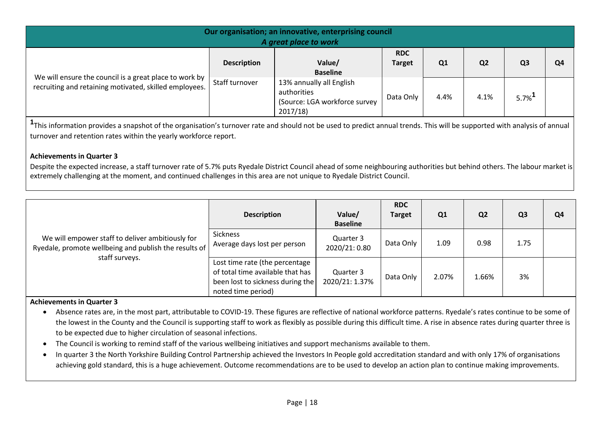| Our organisation; an innovative, enterprising council<br>A great place to work                                   |                    |                                                                                     |                             |      |                |                      |                |  |  |
|------------------------------------------------------------------------------------------------------------------|--------------------|-------------------------------------------------------------------------------------|-----------------------------|------|----------------|----------------------|----------------|--|--|
|                                                                                                                  | <b>Description</b> | Value/<br><b>Baseline</b>                                                           | <b>RDC</b><br><b>Target</b> | Q1   | Q <sub>2</sub> | Q <sub>3</sub>       | Q <sub>4</sub> |  |  |
| We will ensure the council is a great place to work by<br>recruiting and retaining motivated, skilled employees. | Staff turnover     | 13% annually all English<br>authorities<br>(Source: LGA workforce survey<br>2017/18 | Data Only                   | 4.4% | 4.1%           | $5.7\%$ <sup>1</sup> |                |  |  |

**1** This information provides a snapshot of the organisation's turnover rate and should not be used to predict annual trends. This will be supported with analysis of annual turnover and retention rates within the yearly workforce report.

## **Achievements in Quarter 3**

Despite the expected increase, a staff turnover rate of 5.7% puts Ryedale District Council ahead of some neighbouring authorities but behind others. The labour market is extremely challenging at the moment, and continued challenges in this area are not unique to Ryedale District Council.

| We will empower staff to deliver ambitiously for<br>Ryedale, promote wellbeing and publish the results of<br>staff surveys. | <b>Description</b>                                                                                                           | Value/<br><b>Baseline</b>   | <b>RDC</b><br><b>Target</b> | Q1    | Q <sub>2</sub> | Q <sub>3</sub> | Q <sub>4</sub> |
|-----------------------------------------------------------------------------------------------------------------------------|------------------------------------------------------------------------------------------------------------------------------|-----------------------------|-----------------------------|-------|----------------|----------------|----------------|
|                                                                                                                             | <b>Sickness</b><br>Average days lost per person                                                                              | Quarter 3<br>2020/21:0.80   | Data Only                   | 1.09  | 0.98           | 1.75           |                |
|                                                                                                                             | Lost time rate (the percentage<br>of total time available that has<br>been lost to sickness during the<br>noted time period) | Quarter 3<br>2020/21: 1.37% | Data Only                   | 2.07% | 1.66%          | 3%             |                |

- Absence rates are, in the most part, attributable to COVID-19. These figures are reflective of national workforce patterns. Ryedale's rates continue to be some of the lowest in the County and the Council is supporting staff to work as flexibly as possible during this difficult time. A rise in absence rates during quarter three is to be expected due to higher circulation of seasonal infections.
- The Council is working to remind staff of the various wellbeing initiatives and support mechanisms available to them.
- In quarter 3 the North Yorkshire Building Control Partnership achieved the Investors In People gold accreditation standard and with only 17% of organisations achieving gold standard, this is a huge achievement. Outcome recommendations are to be used to develop an action plan to continue making improvements.